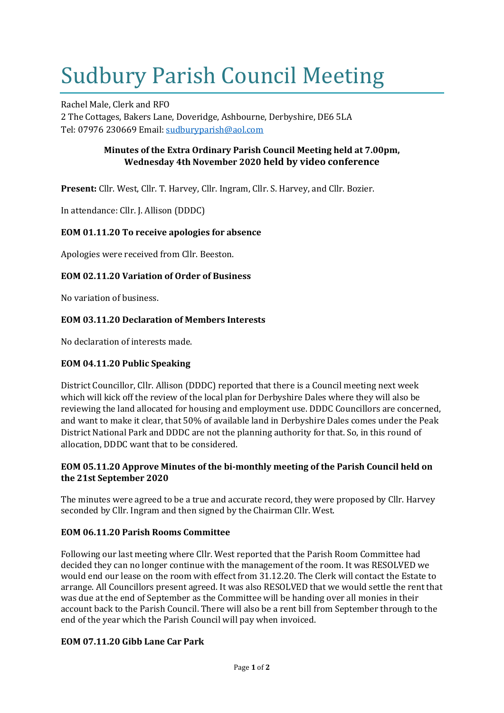# Sudbury Parish Council Meeting

Rachel Male, Clerk and RFO 2 The Cottages, Bakers Lane, Doveridge, Ashbourne, Derbyshire, DE6 5LA Tel: 07976 230669 Email: [sudburyparish@aol.com](mailto:sudburyparish@aol.com)

## **Minutes of the Extra Ordinary Parish Council Meeting held at 7.00pm, Wednesday 4th November 2020 held by video conference**

**Present:** Cllr. West, Cllr. T. Harvey, Cllr. Ingram, Cllr. S. Harvey, and Cllr. Bozier.

In attendance: Cllr. J. Allison (DDDC)

## **EOM 01.11.20 To receive apologies for absence**

Apologies were received from Cllr. Beeston.

## **EOM 02.11.20 Variation of Order of Business**

No variation of business.

## **EOM 03.11.20 Declaration of Members Interests**

No declaration of interests made.

## **EOM 04.11.20 Public Speaking**

District Councillor, Cllr. Allison (DDDC) reported that there is a Council meeting next week which will kick off the review of the local plan for Derbyshire Dales where they will also be reviewing the land allocated for housing and employment use. DDDC Councillors are concerned, and want to make it clear, that 50% of available land in Derbyshire Dales comes under the Peak District National Park and DDDC are not the planning authority for that. So, in this round of allocation, DDDC want that to be considered.

## **EOM 05.11.20 Approve Minutes of the bi-monthly meeting of the Parish Council held on the 21st September 2020**

The minutes were agreed to be a true and accurate record, they were proposed by Cllr. Harvey seconded by Cllr. Ingram and then signed by the Chairman Cllr. West.

## **EOM 06.11.20 Parish Rooms Committee**

Following our last meeting where Cllr. West reported that the Parish Room Committee had decided they can no longer continue with the management of the room. It was RESOLVED we would end our lease on the room with effect from 31.12.20. The Clerk will contact the Estate to arrange. All Councillors present agreed. It was also RESOLVED that we would settle the rent that was due at the end of September as the Committee will be handing over all monies in their account back to the Parish Council. There will also be a rent bill from September through to the end of the year which the Parish Council will pay when invoiced.

## **EOM 07.11.20 Gibb Lane Car Park**